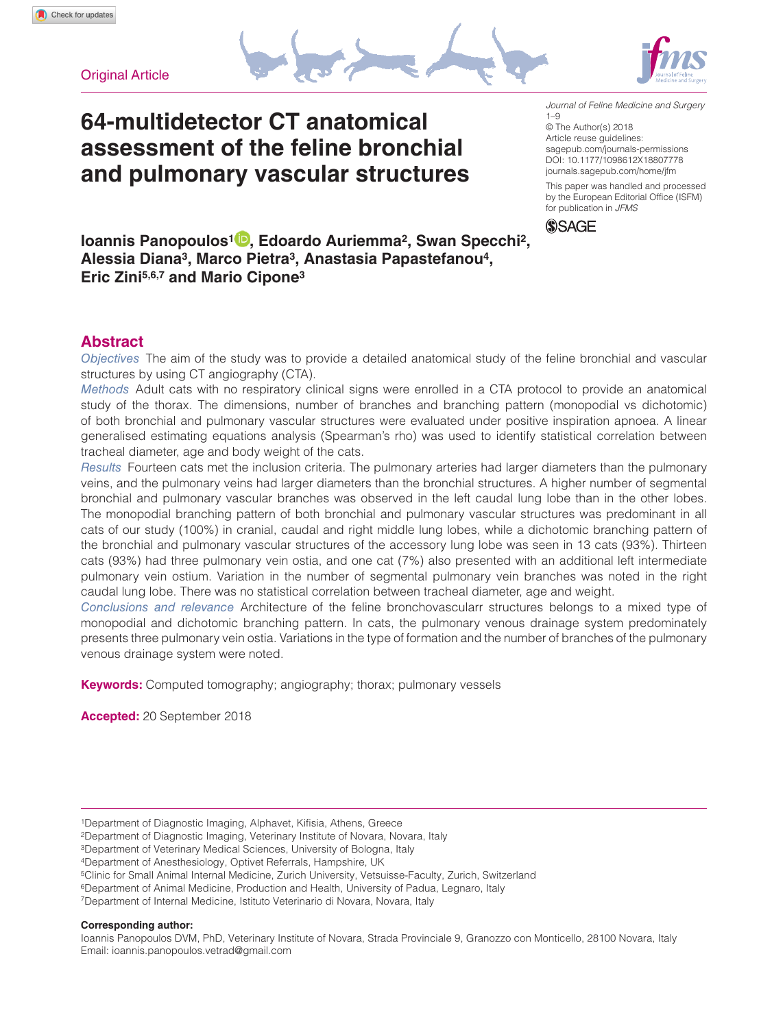**Original Article** 

# **64-multidetector CT anatomical assessment of the feline bronchial and pulmonary vascular structures**

DOI: 10.1177/1098612X18807778 *Journal of Feline Medicine and Surgery* 1–9 © The Author(s) 2018 Article reuse guidelines: [sagepub.com/journals-permissions](https://uk.sagepub.com/en-gb/journals-permissions) [journals.sagepub.com/home/jfm](http://journals.sagepub.com/home/jfm) This paper was handled and processed by the European Editorial Office (ISFM)



for publication in *JFMS*

**Ioannis Panopoulos1 , Edoardo Auriemma2, Swan Specchi2, Alessia Diana3, Marco Pietra3, Anastasia Papastefanou4, Eric Zini5,6,7 and Mario Cipone3**

# **Abstract**

*Objectives* The aim of the study was to provide a detailed anatomical study of the feline bronchial and vascular structures by using CT angiography (CTA).

*Methods* Adult cats with no respiratory clinical signs were enrolled in a CTA protocol to provide an anatomical study of the thorax. The dimensions, number of branches and branching pattern (monopodial vs dichotomic) of both bronchial and pulmonary vascular structures were evaluated under positive inspiration apnoea. A linear generalised estimating equations analysis (Spearman's rho) was used to identify statistical correlation between tracheal diameter, age and body weight of the cats.

*Results* Fourteen cats met the inclusion criteria. The pulmonary arteries had larger diameters than the pulmonary veins, and the pulmonary veins had larger diameters than the bronchial structures. A higher number of segmental bronchial and pulmonary vascular branches was observed in the left caudal lung lobe than in the other lobes. The monopodial branching pattern of both bronchial and pulmonary vascular structures was predominant in all cats of our study (100%) in cranial, caudal and right middle lung lobes, while a dichotomic branching pattern of the bronchial and pulmonary vascular structures of the accessory lung lobe was seen in 13 cats (93%). Thirteen cats (93%) had three pulmonary vein ostia, and one cat (7%) also presented with an additional left intermediate pulmonary vein ostium. Variation in the number of segmental pulmonary vein branches was noted in the right caudal lung lobe. There was no statistical correlation between tracheal diameter, age and weight.

*Conclusions and relevance* Architecture of the feline bronchovascularr structures belongs to a mixed type of monopodial and dichotomic branching pattern. In cats, the pulmonary venous drainage system predominately presents three pulmonary vein ostia. Variations in the type of formation and the number of branches of the pulmonary venous drainage system were noted.

**Keywords:** Computed tomography; angiography; thorax; pulmonary vessels

**Accepted:** 20 September 2018

**Corresponding author:**

<sup>1</sup>Department of Diagnostic Imaging, Alphavet, Kifisia, Athens, Greece

<sup>2</sup>Department of Diagnostic Imaging, Veterinary Institute of Novara, Novara, Italy

<sup>3</sup>Department of Veterinary Medical Sciences, University of Bologna, Italy

<sup>4</sup>Department of Anesthesiology, Optivet Referrals, Hampshire, UK

<sup>5</sup>Clinic for Small Animal Internal Medicine, Zurich University, Vetsuisse-Faculty, Zurich, Switzerland

<sup>6</sup>Department of Animal Medicine, Production and Health, University of Padua, Legnaro, Italy

<sup>7</sup>Department of Internal Medicine, Istituto Veterinario di Novara, Novara, Italy

Ioannis Panopoulos DVM, PhD, Veterinary Institute of Novara, Strada Provinciale 9, Granozzo con Monticello, 28100 Novara, Italy Email: [ioannis.panopoulos.vetrad@gmail.com](mailto:ioannis.panopoulos.vetrad@gmail.com)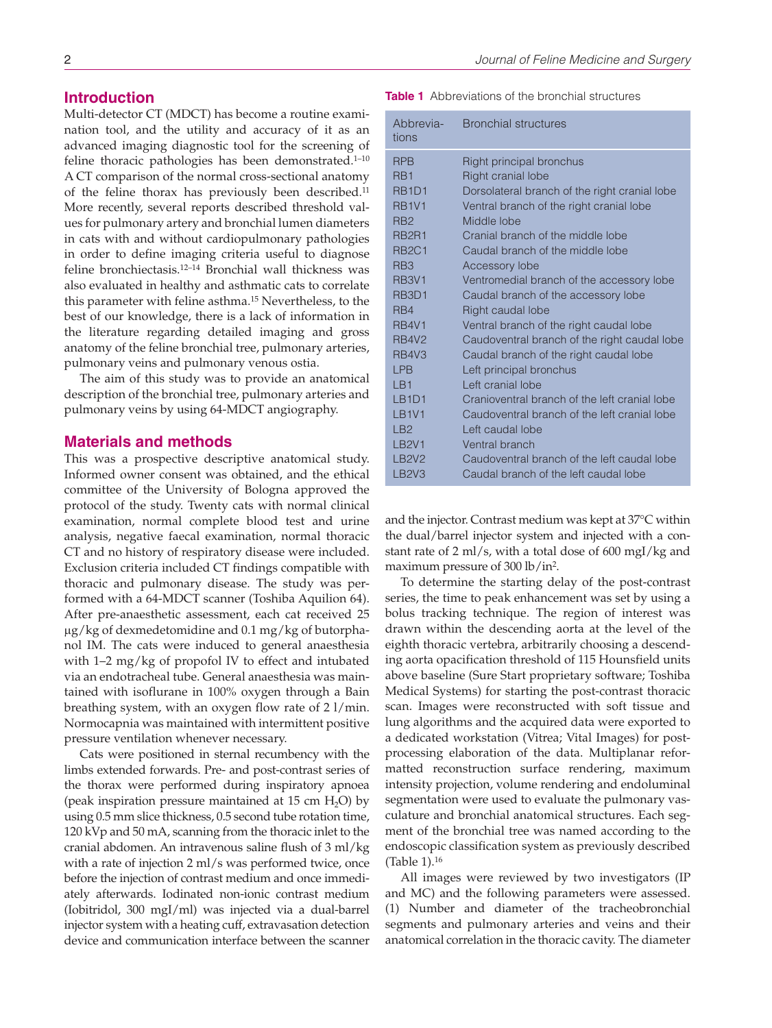### **Introduction**

Multi-detector CT (MDCT) has become a routine examination tool, and the utility and accuracy of it as an advanced imaging diagnostic tool for the screening of feline thoracic pathologies has been demonstrated.<sup>1-10</sup> A CT comparison of the normal cross-sectional anatomy of the feline thorax has previously been described.<sup>11</sup> More recently, several reports described threshold values for pulmonary artery and bronchial lumen diameters in cats with and without cardiopulmonary pathologies in order to define imaging criteria useful to diagnose feline bronchiectasis.12–14 Bronchial wall thickness was also evaluated in healthy and asthmatic cats to correlate this parameter with feline asthma.15 Nevertheless, to the best of our knowledge, there is a lack of information in the literature regarding detailed imaging and gross anatomy of the feline bronchial tree, pulmonary arteries, pulmonary veins and pulmonary venous ostia.

The aim of this study was to provide an anatomical description of the bronchial tree, pulmonary arteries and pulmonary veins by using 64-MDCT angiography.

#### **Materials and methods**

This was a prospective descriptive anatomical study. Informed owner consent was obtained, and the ethical committee of the University of Bologna approved the protocol of the study. Twenty cats with normal clinical examination, normal complete blood test and urine analysis, negative faecal examination, normal thoracic CT and no history of respiratory disease were included. Exclusion criteria included CT findings compatible with thoracic and pulmonary disease. The study was performed with a 64-MDCT scanner (Toshiba Aquilion 64). After pre-anaesthetic assessment, each cat received 25 μg/kg of dexmedetomidine and 0.1 mg/kg of butorphanol IM. The cats were induced to general anaesthesia with 1–2 mg/kg of propofol IV to effect and intubated via an endotracheal tube. General anaesthesia was maintained with isoflurane in 100% oxygen through a Bain breathing system, with an oxygen flow rate of 2 l/min. Normocapnia was maintained with intermittent positive pressure ventilation whenever necessary.

Cats were positioned in sternal recumbency with the limbs extended forwards. Pre- and post-contrast series of the thorax were performed during inspiratory apnoea (peak inspiration pressure maintained at  $15 \text{ cm H}_2\text{O}$ ) by using 0.5 mm slice thickness, 0.5 second tube rotation time, 120 kVp and 50 mA, scanning from the thoracic inlet to the cranial abdomen. An intravenous saline flush of 3 ml/kg with a rate of injection 2 ml/s was performed twice, once before the injection of contrast medium and once immediately afterwards. Iodinated non-ionic contrast medium (Iobitridol, 300 mgI/ml) was injected via a dual-barrel injector system with a heating cuff, extravasation detection device and communication interface between the scanner **Table 1** Abbreviations of the bronchial structures

| Abbrevia-<br>tions             | <b>Bronchial structures</b>                   |
|--------------------------------|-----------------------------------------------|
| <b>RPB</b>                     | Right principal bronchus                      |
| R <sub>B</sub> 1               | Right cranial lobe                            |
| RB <sub>1</sub> D <sub>1</sub> | Dorsolateral branch of the right cranial lobe |
| <b>RB1V1</b>                   | Ventral branch of the right cranial lobe      |
| R <sub>B</sub> 2               | Middle lobe                                   |
| RB <sub>2R1</sub>              | Cranial branch of the middle lobe             |
| <b>RB2C1</b>                   | Caudal branch of the middle lobe              |
| R <sub>B</sub> 3               | Accessory lobe                                |
| <b>RB3V1</b>                   | Ventromedial branch of the accessory lobe     |
| RB <sub>3</sub> D <sub>1</sub> | Caudal branch of the accessory lobe           |
| R <sub>R</sub> 4               | Right caudal lobe                             |
| <b>RB4V1</b>                   | Ventral branch of the right caudal lobe       |
| <b>RB4V2</b>                   | Caudoventral branch of the right caudal lobe  |
| <b>RB4V3</b>                   | Caudal branch of the right caudal lobe        |
| <b>LPB</b>                     | Left principal bronchus                       |
| <b>IB1</b>                     | Left cranial lobe                             |
| LB <sub>1D1</sub>              | Cranioventral branch of the left cranial lobe |
| <b>IB1V1</b>                   | Caudoventral branch of the left cranial lobe  |
| LB2                            | Left caudal lobe                              |
| LB <sub>2V1</sub>              | Ventral branch                                |
| <b>LB2V2</b>                   | Caudoventral branch of the left caudal lobe   |
| LB <sub>2V3</sub>              | Caudal branch of the left caudal lobe         |

and the injector. Contrast medium was kept at 37°C within the dual/barrel injector system and injected with a constant rate of 2 ml/s, with a total dose of 600 mgI/kg and maximum pressure of 300 lb/in2.

To determine the starting delay of the post-contrast series, the time to peak enhancement was set by using a bolus tracking technique. The region of interest was drawn within the descending aorta at the level of the eighth thoracic vertebra, arbitrarily choosing a descending aorta opacification threshold of 115 Hounsfield units above baseline (Sure Start proprietary software; Toshiba Medical Systems) for starting the post-contrast thoracic scan. Images were reconstructed with soft tissue and lung algorithms and the acquired data were exported to a dedicated workstation (Vitrea; Vital Images) for postprocessing elaboration of the data. Multiplanar reformatted reconstruction surface rendering, maximum intensity projection, volume rendering and endoluminal segmentation were used to evaluate the pulmonary vasculature and bronchial anatomical structures. Each segment of the bronchial tree was named according to the endoscopic classification system as previously described (Table 1).16

All images were reviewed by two investigators (IP and MC) and the following parameters were assessed. (1) Number and diameter of the tracheobronchial segments and pulmonary arteries and veins and their anatomical correlation in the thoracic cavity. The diameter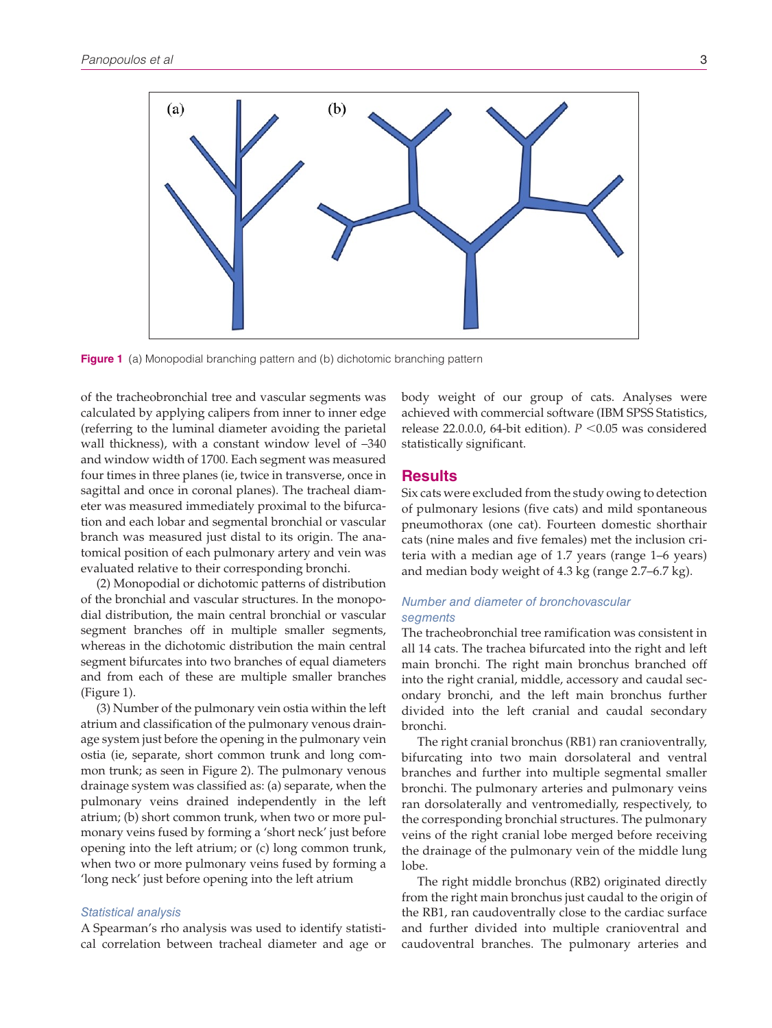

**Figure 1** (a) Monopodial branching pattern and (b) dichotomic branching pattern

of the tracheobronchial tree and vascular segments was calculated by applying calipers from inner to inner edge (referring to the luminal diameter avoiding the parietal wall thickness), with a constant window level of –340 and window width of 1700. Each segment was measured four times in three planes (ie, twice in transverse, once in sagittal and once in coronal planes). The tracheal diameter was measured immediately proximal to the bifurcation and each lobar and segmental bronchial or vascular branch was measured just distal to its origin. The anatomical position of each pulmonary artery and vein was evaluated relative to their corresponding bronchi.

(2) Monopodial or dichotomic patterns of distribution of the bronchial and vascular structures. In the monopodial distribution, the main central bronchial or vascular segment branches off in multiple smaller segments, whereas in the dichotomic distribution the main central segment bifurcates into two branches of equal diameters and from each of these are multiple smaller branches (Figure 1).

(3) Number of the pulmonary vein ostia within the left atrium and classification of the pulmonary venous drainage system just before the opening in the pulmonary vein ostia (ie, separate, short common trunk and long common trunk; as seen in Figure 2). The pulmonary venous drainage system was classified as: (a) separate, when the pulmonary veins drained independently in the left atrium; (b) short common trunk, when two or more pulmonary veins fused by forming a 'short neck' just before opening into the left atrium; or (c) long common trunk, when two or more pulmonary veins fused by forming a 'long neck' just before opening into the left atrium

#### *Statistical analysis*

A Spearman's rho analysis was used to identify statistical correlation between tracheal diameter and age or body weight of our group of cats. Analyses were achieved with commercial software (IBM SPSS Statistics, release 22.0.0.0, 64-bit edition). *P* <0.05 was considered statistically significant.

#### **Results**

Six cats were excluded from the study owing to detection of pulmonary lesions (five cats) and mild spontaneous pneumothorax (one cat). Fourteen domestic shorthair cats (nine males and five females) met the inclusion criteria with a median age of 1.7 years (range 1–6 years) and median body weight of 4.3 kg (range 2.7–6.7 kg).

#### *Number and diameter of bronchovascular segments*

The tracheobronchial tree ramification was consistent in all 14 cats. The trachea bifurcated into the right and left main bronchi. The right main bronchus branched off into the right cranial, middle, accessory and caudal secondary bronchi, and the left main bronchus further divided into the left cranial and caudal secondary bronchi.

The right cranial bronchus (RB1) ran cranioventrally, bifurcating into two main dorsolateral and ventral branches and further into multiple segmental smaller bronchi. The pulmonary arteries and pulmonary veins ran dorsolaterally and ventromedially, respectively, to the corresponding bronchial structures. The pulmonary veins of the right cranial lobe merged before receiving the drainage of the pulmonary vein of the middle lung lobe.

The right middle bronchus (RB2) originated directly from the right main bronchus just caudal to the origin of the RB1, ran caudoventrally close to the cardiac surface and further divided into multiple cranioventral and caudoventral branches. The pulmonary arteries and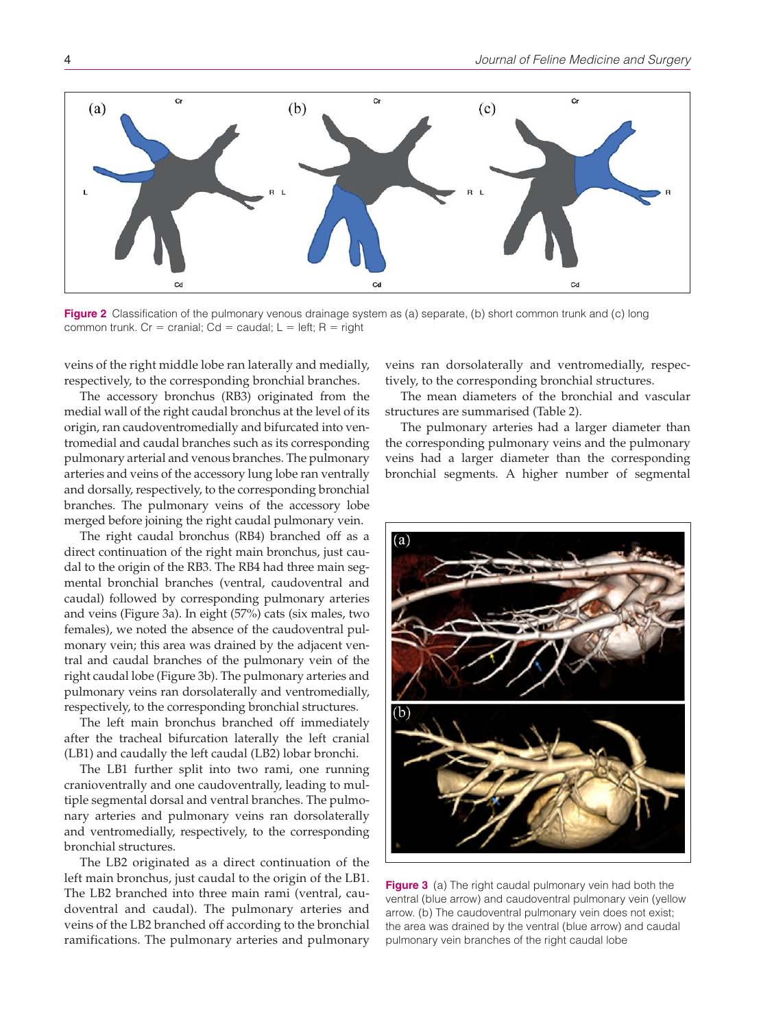

**Figure 2** Classification of the pulmonary venous drainage system as (a) separate, (b) short common trunk and (c) long common trunk. Cr = cranial; Cd = caudal;  $L = left$ ; R = right

veins of the right middle lobe ran laterally and medially, respectively, to the corresponding bronchial branches.

The accessory bronchus (RB3) originated from the medial wall of the right caudal bronchus at the level of its origin, ran caudoventromedially and bifurcated into ventromedial and caudal branches such as its corresponding pulmonary arterial and venous branches. The pulmonary arteries and veins of the accessory lung lobe ran ventrally and dorsally, respectively, to the corresponding bronchial branches. The pulmonary veins of the accessory lobe merged before joining the right caudal pulmonary vein.

The right caudal bronchus (RB4) branched off as a direct continuation of the right main bronchus, just caudal to the origin of the RB3. The RB4 had three main segmental bronchial branches (ventral, caudoventral and caudal) followed by corresponding pulmonary arteries and veins (Figure 3a). In eight (57%) cats (six males, two females), we noted the absence of the caudoventral pulmonary vein; this area was drained by the adjacent ventral and caudal branches of the pulmonary vein of the right caudal lobe (Figure 3b). The pulmonary arteries and pulmonary veins ran dorsolaterally and ventromedially, respectively, to the corresponding bronchial structures.

The left main bronchus branched off immediately after the tracheal bifurcation laterally the left cranial (LB1) and caudally the left caudal (LB2) lobar bronchi.

The LB1 further split into two rami, one running cranioventrally and one caudoventrally, leading to multiple segmental dorsal and ventral branches. The pulmonary arteries and pulmonary veins ran dorsolaterally and ventromedially, respectively, to the corresponding bronchial structures.

The LB2 originated as a direct continuation of the left main bronchus, just caudal to the origin of the LB1. The LB2 branched into three main rami (ventral, caudoventral and caudal). The pulmonary arteries and veins of the LB2 branched off according to the bronchial ramifications. The pulmonary arteries and pulmonary

veins ran dorsolaterally and ventromedially, respectively, to the corresponding bronchial structures.

The mean diameters of the bronchial and vascular structures are summarised (Table 2).

The pulmonary arteries had a larger diameter than the corresponding pulmonary veins and the pulmonary veins had a larger diameter than the corresponding bronchial segments. A higher number of segmental



**Figure 3** (a) The right caudal pulmonary vein had both the ventral (blue arrow) and caudoventral pulmonary vein (yellow arrow. (b) The caudoventral pulmonary vein does not exist; the area was drained by the ventral (blue arrow) and caudal pulmonary vein branches of the right caudal lobe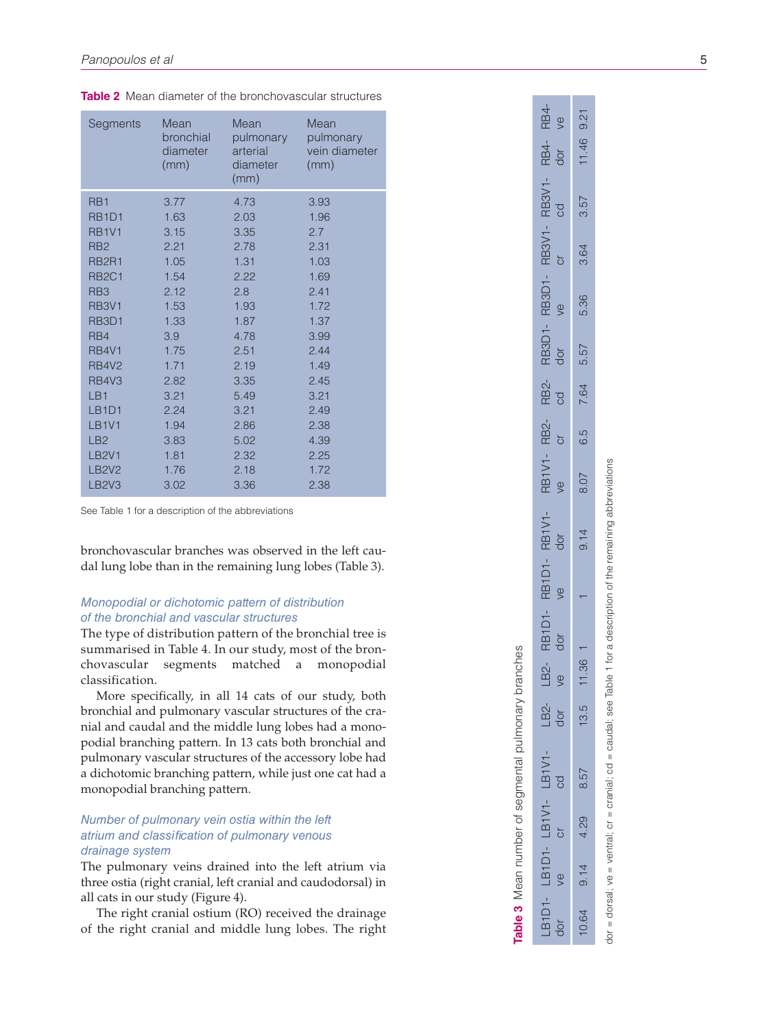| Segments                       | Mean<br>bronchial<br>diameter<br>(mm) | Mean<br>pulmonary<br>arterial<br>diameter<br>(mm) | Mean<br>pulmonary<br>vein diameter<br>(mm) |
|--------------------------------|---------------------------------------|---------------------------------------------------|--------------------------------------------|
| RB <sub>1</sub>                | 3.77                                  | 4.73                                              | 3.93                                       |
| RB <sub>1</sub> D <sub>1</sub> | 1.63                                  | 2.03                                              | 1.96                                       |
| <b>RB1V1</b>                   | 3.15                                  | 3.35                                              | 2.7                                        |
| RB <sub>2</sub>                | 2.21                                  | 2.78                                              | 2.31                                       |
| RB <sub>2R1</sub>              | 1.05                                  | 1.31                                              | 1.03                                       |
| <b>RB2C1</b>                   | 1.54                                  | 2.22                                              | 1.69                                       |
| RB <sub>3</sub>                | 2.12                                  | 2.8                                               | 2.41                                       |
| <b>RB3V1</b>                   | 1.53                                  | 1.93                                              | 1.72                                       |
| RB <sub>3</sub> D <sub>1</sub> | 1.33                                  | 1.87                                              | 1.37                                       |
| RB4                            | 3.9                                   | 4.78                                              | 3.99                                       |
| <b>RB4V1</b>                   | 1.75                                  | 2.51                                              | 2.44                                       |
| <b>RB4V2</b>                   | 1.71                                  | 2.19                                              | 1.49                                       |
| <b>RB4V3</b>                   | 2.82                                  | 3.35                                              | 2.45                                       |
| LB <sub>1</sub>                | 3.21                                  | 5.49                                              | 3.21                                       |
| LB <sub>1</sub> D <sub>1</sub> | 2.24                                  | 3.21                                              | 2.49                                       |
| <b>LB1V1</b>                   | 1.94                                  | 2.86                                              | 2.38                                       |
| LB <sub>2</sub>                | 3.83                                  | 5.02                                              | 4.39                                       |
| <b>LB2V1</b>                   | 1.81                                  | 2.32                                              | 2.25                                       |
| <b>LB2V2</b>                   | 1.76                                  | 2.18                                              | 1.72                                       |
| LB <sub>2V3</sub>              | 3.02                                  | 3.36                                              | 2.38                                       |

**Table 2** Mean diameter of the bronchovascular structures

See Table 1 for a description of the abbreviations

bronchovascular branches was observed in the left cau dal lung lobe than in the remaining lung lobes (Table 3).

## *Monopodial or dichotomic pattern of distribution of the bronchial and vascular structures*

The type of distribution pattern of the bronchial tree is summarised in Table 4. In our study, most of the bron chovascular segments matched a monopodial classification.

More specifically, in all 14 cats of our study, both bronchial and pulmonary vascular structures of the cra nial and caudal and the middle lung lobes had a mono podial branching pattern. In 13 cats both bronchial and pulmonary vascular structures of the accessory lobe had a dichotomic branching pattern, while just one cat had a monopodial branching pattern.

## *Number of pulmonary vein ostia within the left atrium and classification of pulmonary venous drainage system*

The pulmonary veins drained into the left atrium via three ostia (right cranial, left cranial and caudodorsal) in all cats in our study (Figure 4).

The right cranial ostium (RO) received the drainage of the right cranial and middle lung lobes. The right

| RB4-<br>dor                      |           |
|----------------------------------|-----------|
| RB3V1-<br>cd                     |           |
| <b>RB3V1-</b>                    | ូ<br>ប    |
| RB3D1-                           | ye        |
| RB3D1-<br>dor                    |           |
| RB2-<br>cd                       |           |
| RB2-<br>cr                       |           |
| RB1V1-<br>ve                     |           |
| RB1V1-<br>dor                    |           |
| RB <sub>1</sub> D <sub>1</sub> - | ve        |
| RB1D1-<br>dor                    |           |
| LB2-<br>ye                       |           |
| $-B2-$                           | dor       |
| LB1V1                            | <b>cd</b> |
| LB1V1-                           |           |
| LB1D1-                           |           |
| LB1D1                            | dor       |

10.64 9.14 4.29 8.57 13.5 11.36 1 1 9.14 8.07 6.5 7.64 5.57 5.36 3.64 3.57 11.46 9.21

 $\overline{4}$  $\overline{\sigma}$ 

36  $\overline{1}$ 

 $\overline{5}$  $\overline{5}$ 

8.57

29  $\overline{4}$ 

 $9.14$ 

 $64$  $\overline{O}$ 

RB4- ve

 $9.21$ 

11.46

57 ന്

 $64$ က

36 نَ<br>نَ

57 ξÓ.

 $64$  $\overline{N}$ 

ഥ  $\ddot{\circ}$ 

70  $\overline{\circ}$ 

**Table 3** Mean number of segmental pulmonary branches

able 3 Mean number of segmental pulmonary branches

dor = dorsal; ve = ventral;  $\text{cr}$  = cranial;  $\text{cd}$  = caudal; see Table 1 for a description of the remaining abbreviations = dorsal; ve = ventral; cr = cranial; cd = caudal; see Table 1 for a description of the remaining abbreviations  $\frac{1}{2}$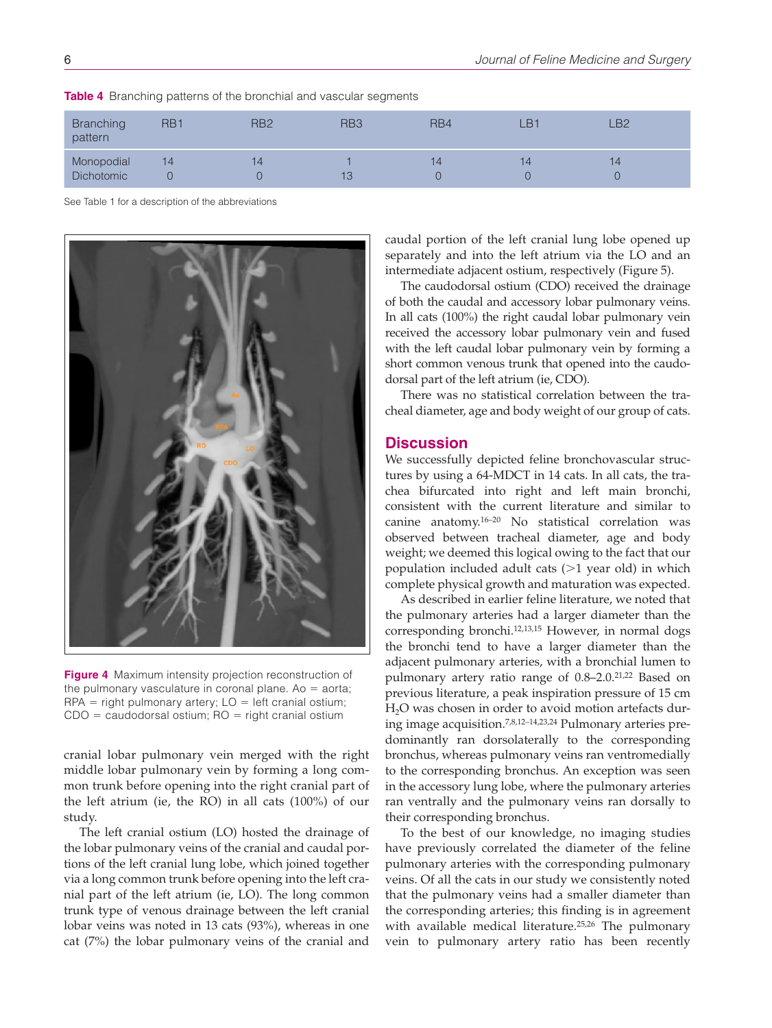| <b>Branching</b><br>pattern | RB <sub>1</sub> | RB <sub>2</sub> | RB <sub>3</sub> | RB4 | LB. | LB2 |
|-----------------------------|-----------------|-----------------|-----------------|-----|-----|-----|
| Monopodial                  | 14              | 14              |                 | 14  | 14  | 14  |
| <b>Dichotomic</b>           |                 |                 | 13              |     |     |     |

**Table 4** Branching patterns of the bronchial and vascular segments

See Table 1 for a description of the abbreviations



**Figure 4** Maximum intensity projection reconstruction of the pulmonary vasculature in coronal plane. Ao  $=$  aorta;  $RPA =$  right pulmonary artery;  $LO =$  left cranial ostium;  $CDO = caudodorsal ostium; RO = right cranial ostium$ 

cranial lobar pulmonary vein merged with the right middle lobar pulmonary vein by forming a long common trunk before opening into the right cranial part of the left atrium (ie, the RO) in all cats (100%) of our study.

The left cranial ostium (LO) hosted the drainage of the lobar pulmonary veins of the cranial and caudal portions of the left cranial lung lobe, which joined together via a long common trunk before opening into the left cranial part of the left atrium (ie, LO). The long common trunk type of venous drainage between the left cranial lobar veins was noted in 13 cats (93%), whereas in one cat (7%) the lobar pulmonary veins of the cranial and caudal portion of the left cranial lung lobe opened up separately and into the left atrium via the LO and an intermediate adjacent ostium, respectively (Figure 5).

The caudodorsal ostium (CDO) received the drainage of both the caudal and accessory lobar pulmonary veins. In all cats (100%) the right caudal lobar pulmonary vein received the accessory lobar pulmonary vein and fused with the left caudal lobar pulmonary vein by forming a short common venous trunk that opened into the caudodorsal part of the left atrium (ie, CDO).

There was no statistical correlation between the tracheal diameter, age and body weight of our group of cats.

## **Discussion**

We successfully depicted feline bronchovascular structures by using a 64-MDCT in 14 cats. In all cats, the trachea bifurcated into right and left main bronchi, consistent with the current literature and similar to canine anatomy.16–20 No statistical correlation was observed between tracheal diameter, age and body weight; we deemed this logical owing to the fact that our population included adult cats (>1 year old) in which complete physical growth and maturation was expected.

As described in earlier feline literature, we noted that the pulmonary arteries had a larger diameter than the corresponding bronchi.12,13,15 However, in normal dogs the bronchi tend to have a larger diameter than the adjacent pulmonary arteries, with a bronchial lumen to pulmonary artery ratio range of 0.8–2.0.<sup>21,22</sup> Based on previous literature, a peak inspiration pressure of 15 cm H<sub>2</sub>O was chosen in order to avoid motion artefacts during image acquisition.7,8,12–14,23,24 Pulmonary arteries predominantly ran dorsolaterally to the corresponding bronchus, whereas pulmonary veins ran ventromedially to the corresponding bronchus. An exception was seen in the accessory lung lobe, where the pulmonary arteries ran ventrally and the pulmonary veins ran dorsally to their corresponding bronchus.

To the best of our knowledge, no imaging studies have previously correlated the diameter of the feline pulmonary arteries with the corresponding pulmonary veins. Of all the cats in our study we consistently noted that the pulmonary veins had a smaller diameter than the corresponding arteries; this finding is in agreement with available medical literature.<sup>25,26</sup> The pulmonary vein to pulmonary artery ratio has been recently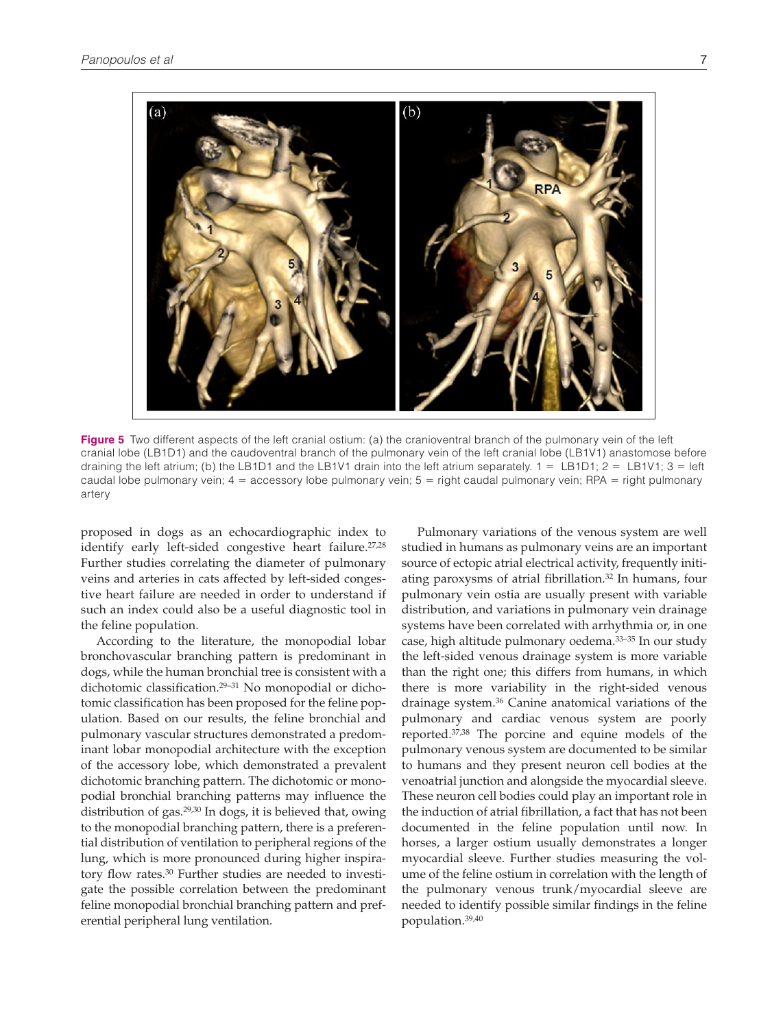

**Figure 5** Two different aspects of the left cranial ostium: (a) the cranioventral branch of the pulmonary vein of the left cranial lobe (LB1D1) and the caudoventral branch of the pulmonary vein of the left cranial lobe (LB1V1) anastomose before draining the left atrium; (b) the LB1D1 and the LB1V1 drain into the left atrium separately.  $1 = LBD1$ ;  $2 = LBU1$ ;  $3 = \text{left}$ caudal lobe pulmonary vein;  $4 =$  accessory lobe pulmonary vein;  $5 =$  right caudal pulmonary vein; RPA = right pulmonary artery

proposed in dogs as an echocardiographic index to identify early left-sided congestive heart failure.<sup>27,28</sup> Further studies correlating the diameter of pulmonary veins and arteries in cats affected by left-sided congestive heart failure are needed in order to understand if such an index could also be a useful diagnostic tool in the feline population.

According to the literature, the monopodial lobar bronchovascular branching pattern is predominant in dogs, while the human bronchial tree is consistent with a dichotomic classification.29–31 No monopodial or dichotomic classification has been proposed for the feline population. Based on our results, the feline bronchial and pulmonary vascular structures demonstrated a predominant lobar monopodial architecture with the exception of the accessory lobe, which demonstrated a prevalent dichotomic branching pattern. The dichotomic or monopodial bronchial branching patterns may influence the distribution of gas.<sup>29,30</sup> In dogs, it is believed that, owing to the monopodial branching pattern, there is a preferential distribution of ventilation to peripheral regions of the lung, which is more pronounced during higher inspiratory flow rates.30 Further studies are needed to investigate the possible correlation between the predominant feline monopodial bronchial branching pattern and preferential peripheral lung ventilation.

Pulmonary variations of the venous system are well studied in humans as pulmonary veins are an important source of ectopic atrial electrical activity, frequently initiating paroxysms of atrial fibrillation.32 In humans, four pulmonary vein ostia are usually present with variable distribution, and variations in pulmonary vein drainage systems have been correlated with arrhythmia or, in one case, high altitude pulmonary oedema.33–35 In our study the left-sided venous drainage system is more variable than the right one; this differs from humans, in which there is more variability in the right-sided venous drainage system.36 Canine anatomical variations of the pulmonary and cardiac venous system are poorly reported.37,38 The porcine and equine models of the pulmonary venous system are documented to be similar to humans and they present neuron cell bodies at the venoatrial junction and alongside the myocardial sleeve. These neuron cell bodies could play an important role in the induction of atrial fibrillation, a fact that has not been documented in the feline population until now. In horses, a larger ostium usually demonstrates a longer myocardial sleeve. Further studies measuring the volume of the feline ostium in correlation with the length of the pulmonary venous trunk/myocardial sleeve are needed to identify possible similar findings in the feline population.39,40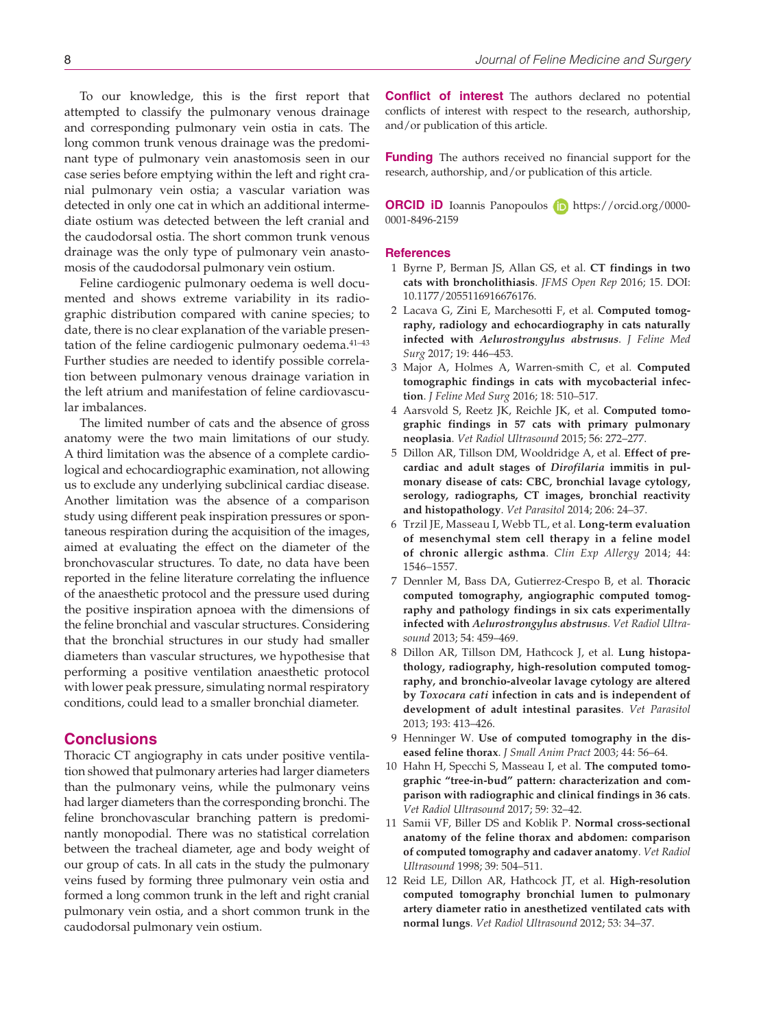To our knowledge, this is the first report that attempted to classify the pulmonary venous drainage and corresponding pulmonary vein ostia in cats. The long common trunk venous drainage was the predominant type of pulmonary vein anastomosis seen in our case series before emptying within the left and right cranial pulmonary vein ostia; a vascular variation was detected in only one cat in which an additional intermediate ostium was detected between the left cranial and the caudodorsal ostia. The short common trunk venous drainage was the only type of pulmonary vein anastomosis of the caudodorsal pulmonary vein ostium.

Feline cardiogenic pulmonary oedema is well documented and shows extreme variability in its radiographic distribution compared with canine species; to date, there is no clear explanation of the variable presentation of the feline cardiogenic pulmonary oedema.<sup>41-43</sup> Further studies are needed to identify possible correlation between pulmonary venous drainage variation in the left atrium and manifestation of feline cardiovascular imbalances.

The limited number of cats and the absence of gross anatomy were the two main limitations of our study. A third limitation was the absence of a complete cardiological and echocardiographic examination, not allowing us to exclude any underlying subclinical cardiac disease. Another limitation was the absence of a comparison study using different peak inspiration pressures or spontaneous respiration during the acquisition of the images, aimed at evaluating the effect on the diameter of the bronchovascular structures. To date, no data have been reported in the feline literature correlating the influence of the anaesthetic protocol and the pressure used during the positive inspiration apnoea with the dimensions of the feline bronchial and vascular structures. Considering that the bronchial structures in our study had smaller diameters than vascular structures, we hypothesise that performing a positive ventilation anaesthetic protocol with lower peak pressure, simulating normal respiratory conditions, could lead to a smaller bronchial diameter.

### **Conclusions**

Thoracic CT angiography in cats under positive ventilation showed that pulmonary arteries had larger diameters than the pulmonary veins, while the pulmonary veins had larger diameters than the corresponding bronchi. The feline bronchovascular branching pattern is predominantly monopodial. There was no statistical correlation between the tracheal diameter, age and body weight of our group of cats. In all cats in the study the pulmonary veins fused by forming three pulmonary vein ostia and formed a long common trunk in the left and right cranial pulmonary vein ostia, and a short common trunk in the caudodorsal pulmonary vein ostium.

**Conflict of interest** The authors declared no potential conflicts of interest with respect to the research, authorship, and/or publication of this article.

**Funding** The authors received no financial support for the research, authorship, and/or publication of this article.

**ORCID iD** Ioannis Panopoulos **iD** [https://orcid.org/0000-](https://orcid.org/0000-0001-8496-2159) [0001-8496-2159](https://orcid.org/0000-0001-8496-2159)

#### **References**

- 1 Byrne P, Berman JS, Allan GS, et al. **CT findings in two cats with broncholithiasis**. *JFMS Open Rep* 2016; 15. DOI: 10.1177/2055116916676176.
- 2 Lacava G, Zini E, Marchesotti F, et al. **Computed tomography, radiology and echocardiography in cats naturally infected with** *Aelurostrongylus abstrusus*. *J Feline Med Surg* 2017; 19: 446–453.
- 3 Major A, Holmes A, Warren-smith C, et al. **Computed tomographic findings in cats with mycobacterial infection**. *J Feline Med Surg* 2016; 18: 510–517.
- 4 Aarsvold S, Reetz JK, Reichle JK, et al. **Computed tomographic findings in 57 cats with primary pulmonary neoplasia**. *Vet Radiol Ultrasound* 2015; 56: 272–277.
- 5 Dillon AR, Tillson DM, Wooldridge A, et al. **Effect of precardiac and adult stages of** *Dirofilaria* **immitis in pulmonary disease of cats: CBC, bronchial lavage cytology, serology, radiographs, CT images, bronchial reactivity and histopathology**. *Vet Parasitol* 2014; 206: 24–37.
- 6 Trzil JE, Masseau I, Webb TL, et al. **Long-term evaluation of mesenchymal stem cell therapy in a feline model of chronic allergic asthma**. *Clin Exp Allergy* 2014; 44: 1546–1557.
- 7 Dennler M, Bass DA, Gutierrez-Crespo B, et al. **Thoracic computed tomography, angiographic computed tomography and pathology findings in six cats experimentally infected with** *Aelurostrongylus abstrusus*. *Vet Radiol Ultrasound* 2013; 54: 459–469.
- 8 Dillon AR, Tillson DM, Hathcock J, et al. **Lung histopathology, radiography, high-resolution computed tomography, and bronchio-alveolar lavage cytology are altered by** *Toxocara cati* **infection in cats and is independent of development of adult intestinal parasites**. *Vet Parasitol* 2013; 193: 413–426.
- 9 Henninger W. **Use of computed tomography in the diseased feline thorax**. *J Small Anim Pract* 2003; 44: 56–64.
- 10 Hahn H, Specchi S, Masseau I, et al. **The computed tomographic "tree-in-bud" pattern: characterization and comparison with radiographic and clinical findings in 36 cats**. *Vet Radiol Ultrasound* 2017; 59: 32–42.
- 11 Samii VF, Biller DS and Koblik P. **Normal cross-sectional anatomy of the feline thorax and abdomen: comparison of computed tomography and cadaver anatomy**. *Vet Radiol Ultrasound* 1998; 39: 504–511.
- 12 Reid LE, Dillon AR, Hathcock JT, et al. **High-resolution computed tomography bronchial lumen to pulmonary artery diameter ratio in anesthetized ventilated cats with normal lungs**. *Vet Radiol Ultrasound* 2012; 53: 34–37.